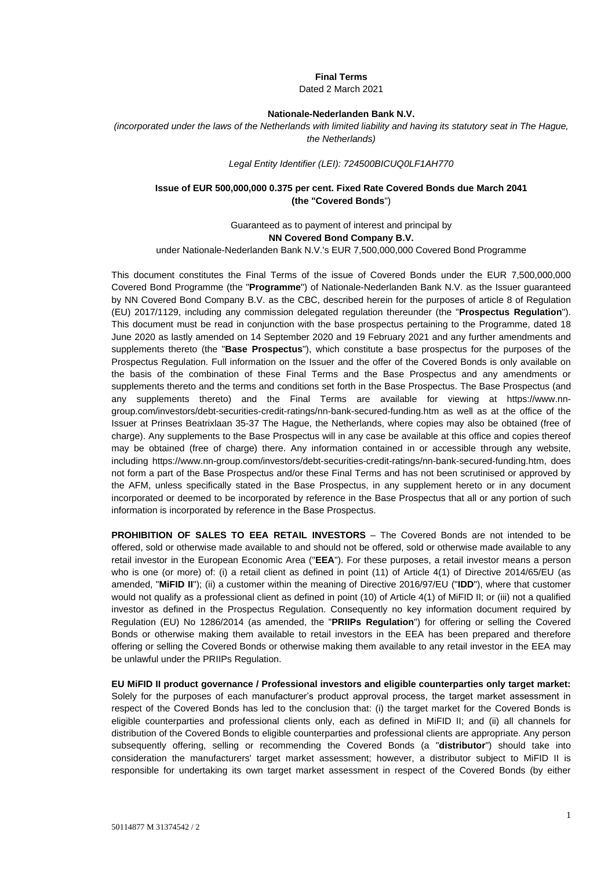## **Final Terms**

Dated 2 March 2021

### **Nationale-Nederlanden Bank N.V.**

*(incorporated under the laws of the Netherlands with limited liability and having its statutory seat in The Hague, the Netherlands)*

#### *Legal Entity Identifier (LEI): 724500BICUQ0LF1AH770*

### **Issue of EUR 500,000,000 0.375 per cent. Fixed Rate Covered Bonds due March 2041 (the "Covered Bonds**")

Guaranteed as to payment of interest and principal by **NN Covered Bond Company B.V.**

under Nationale-Nederlanden Bank N.V.'s EUR 7,500,000,000 Covered Bond Programme

This document constitutes the Final Terms of the issue of Covered Bonds under the EUR 7,500,000,000 Covered Bond Programme (the "**Programme**") of Nationale-Nederlanden Bank N.V. as the Issuer guaranteed by NN Covered Bond Company B.V. as the CBC, described herein for the purposes of article 8 of Regulation (EU) 2017/1129, including any commission delegated regulation thereunder (the "**Prospectus Regulation**"). This document must be read in conjunction with the base prospectus pertaining to the Programme, dated 18 June 2020 as lastly amended on 14 September 2020 and 19 February 2021 and any further amendments and supplements thereto (the "**Base Prospectus**"), which constitute a base prospectus for the purposes of the Prospectus Regulation. Full information on the Issuer and the offer of the Covered Bonds is only available on the basis of the combination of these Final Terms and the Base Prospectus and any amendments or supplements thereto and the terms and conditions set forth in the Base Prospectus. The Base Prospectus (and any supplements thereto) and the Final Terms are available for viewing at [https://www.nn](https://urldefense.com/v3/__https:/www.nn-group.com/investors/debt-securities-credit-ratings/nn-bank-secured-funding.htm__;!!JMiYFPDqHV3Cgg!GLvIYaKAI8G-QEZgNAMmwHuFUMzYGGPITBU3ju8y3B7fbcQNjeRcMKRe-PJU2dmyxLq5St3X$)[group.com/investors/debt-securities-credit-ratings/nn-bank-secured-funding.htm](https://urldefense.com/v3/__https:/www.nn-group.com/investors/debt-securities-credit-ratings/nn-bank-secured-funding.htm__;!!JMiYFPDqHV3Cgg!GLvIYaKAI8G-QEZgNAMmwHuFUMzYGGPITBU3ju8y3B7fbcQNjeRcMKRe-PJU2dmyxLq5St3X$) as well as at the office of the Issuer at Prinses Beatrixlaan 35-37 The Hague, the Netherlands, where copies may also be obtained (free of charge). Any supplements to the Base Prospectus will in any case be available at this office and copies thereof may be obtained (free of charge) there. Any information contained in or accessible through any website, including [https://www.nn-group.com/investors/debt-securities-credit-ratings/nn-bank-secured-funding.htm,](https://urldefense.com/v3/__https:/www.nn-group.com/investors/debt-securities-credit-ratings/nn-bank-secured-funding.htm__;!!JMiYFPDqHV3Cgg!GLvIYaKAI8G-QEZgNAMmwHuFUMzYGGPITBU3ju8y3B7fbcQNjeRcMKRe-PJU2dmyxLq5St3X$) does not form a part of the Base Prospectus and/or these Final Terms and has not been scrutinised or approved by the AFM, unless specifically stated in the Base Prospectus, in any supplement hereto or in any document incorporated or deemed to be incorporated by reference in the Base Prospectus that all or any portion of such information is incorporated by reference in the Base Prospectus.

**PROHIBITION OF SALES TO EEA RETAIL INVESTORS** – The Covered Bonds are not intended to be offered, sold or otherwise made available to and should not be offered, sold or otherwise made available to any retail investor in the European Economic Area ("**EEA**"). For these purposes, a retail investor means a person who is one (or more) of: (i) a retail client as defined in point (11) of Article 4(1) of Directive 2014/65/EU (as amended, "**MiFID II**"); (ii) a customer within the meaning of Directive 2016/97/EU ("**IDD**"), where that customer would not qualify as a professional client as defined in point (10) of Article 4(1) of MiFID II; or (iii) not a qualified investor as defined in the Prospectus Regulation. Consequently no key information document required by Regulation (EU) No 1286/2014 (as amended, the "**PRIIPs Regulation**") for offering or selling the Covered Bonds or otherwise making them available to retail investors in the EEA has been prepared and therefore offering or selling the Covered Bonds or otherwise making them available to any retail investor in the EEA may be unlawful under the PRIIPs Regulation.

**EU MiFID II product governance / Professional investors and eligible counterparties only target market:**  Solely for the purposes of each manufacturer's product approval process, the target market assessment in respect of the Covered Bonds has led to the conclusion that: (i) the target market for the Covered Bonds is eligible counterparties and professional clients only, each as defined in MiFID II; and (ii) all channels for distribution of the Covered Bonds to eligible counterparties and professional clients are appropriate. Any person subsequently offering, selling or recommending the Covered Bonds (a "**distributor**") should take into consideration the manufacturers' target market assessment; however, a distributor subject to MiFID II is responsible for undertaking its own target market assessment in respect of the Covered Bonds (by either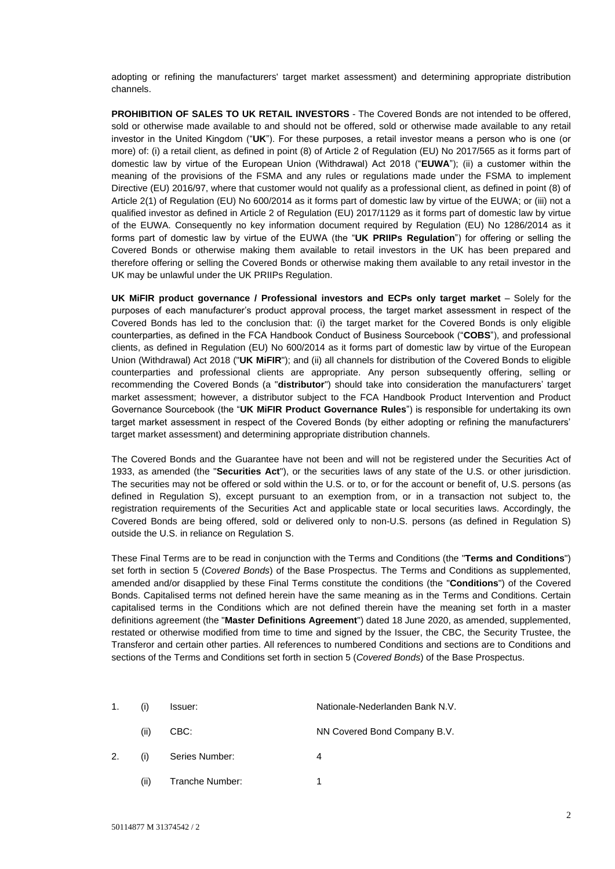adopting or refining the manufacturers' target market assessment) and determining appropriate distribution channels.

**PROHIBITION OF SALES TO UK RETAIL INVESTORS** - The Covered Bonds are not intended to be offered, sold or otherwise made available to and should not be offered, sold or otherwise made available to any retail investor in the United Kingdom ("**UK**"). For these purposes, a retail investor means a person who is one (or more) of: (i) a retail client, as defined in point (8) of Article 2 of Regulation (EU) No 2017/565 as it forms part of domestic law by virtue of the European Union (Withdrawal) Act 2018 ("**EUWA**"); (ii) a customer within the meaning of the provisions of the FSMA and any rules or regulations made under the FSMA to implement Directive (EU) 2016/97, where that customer would not qualify as a professional client, as defined in point (8) of Article 2(1) of Regulation (EU) No 600/2014 as it forms part of domestic law by virtue of the EUWA; or (iii) not a qualified investor as defined in Article 2 of Regulation (EU) 2017/1129 as it forms part of domestic law by virtue of the EUWA. Consequently no key information document required by Regulation (EU) No 1286/2014 as it forms part of domestic law by virtue of the EUWA (the "**UK PRIIPs Regulation**") for offering or selling the Covered Bonds or otherwise making them available to retail investors in the UK has been prepared and therefore offering or selling the Covered Bonds or otherwise making them available to any retail investor in the UK may be unlawful under the UK PRIIPs Regulation.

**UK MiFIR product governance / Professional investors and ECPs only target market** – Solely for the purposes of each manufacturer's product approval process, the target market assessment in respect of the Covered Bonds has led to the conclusion that: (i) the target market for the Covered Bonds is only eligible counterparties, as defined in the FCA Handbook Conduct of Business Sourcebook ("**COBS**"), and professional clients, as defined in Regulation (EU) No 600/2014 as it forms part of domestic law by virtue of the European Union (Withdrawal) Act 2018 ("**UK MiFIR**"); and (ii) all channels for distribution of the Covered Bonds to eligible counterparties and professional clients are appropriate. Any person subsequently offering, selling or recommending the Covered Bonds (a "**distributor**") should take into consideration the manufacturers' target market assessment; however, a distributor subject to the FCA Handbook Product Intervention and Product Governance Sourcebook (the "**UK MiFIR Product Governance Rules**") is responsible for undertaking its own target market assessment in respect of the Covered Bonds (by either adopting or refining the manufacturers' target market assessment) and determining appropriate distribution channels.

The Covered Bonds and the Guarantee have not been and will not be registered under the Securities Act of 1933, as amended (the "**Securities Act**"), or the securities laws of any state of the U.S. or other jurisdiction. The securities may not be offered or sold within the U.S. or to, or for the account or benefit of, U.S. persons (as defined in Regulation S), except pursuant to an exemption from, or in a transaction not subject to, the registration requirements of the Securities Act and applicable state or local securities laws. Accordingly, the Covered Bonds are being offered, sold or delivered only to non-U.S. persons (as defined in Regulation S) outside the U.S. in reliance on Regulation S.

These Final Terms are to be read in conjunction with the Terms and Conditions (the "**Terms and Conditions**") set forth in section 5 (*Covered Bonds*) of the Base Prospectus. The Terms and Conditions as supplemented, amended and/or disapplied by these Final Terms constitute the conditions (the "**Conditions**") of the Covered Bonds. Capitalised terms not defined herein have the same meaning as in the Terms and Conditions. Certain capitalised terms in the Conditions which are not defined therein have the meaning set forth in a master definitions agreement (the "**Master Definitions Agreement**") dated 18 June 2020, as amended, supplemented, restated or otherwise modified from time to time and signed by the Issuer, the CBC, the Security Trustee, the Transferor and certain other parties. All references to numbered Conditions and sections are to Conditions and sections of the Terms and Conditions set forth in section 5 (*Covered Bonds*) of the Base Prospectus.

| 1. | (i)  | Issuer:        | Nationale-Nederlanden Bank N.V. |
|----|------|----------------|---------------------------------|
|    | (ii) | CBC:           | NN Covered Bond Company B.V.    |
|    | (i)  | Series Number: |                                 |

(ii) Tranche Number: 1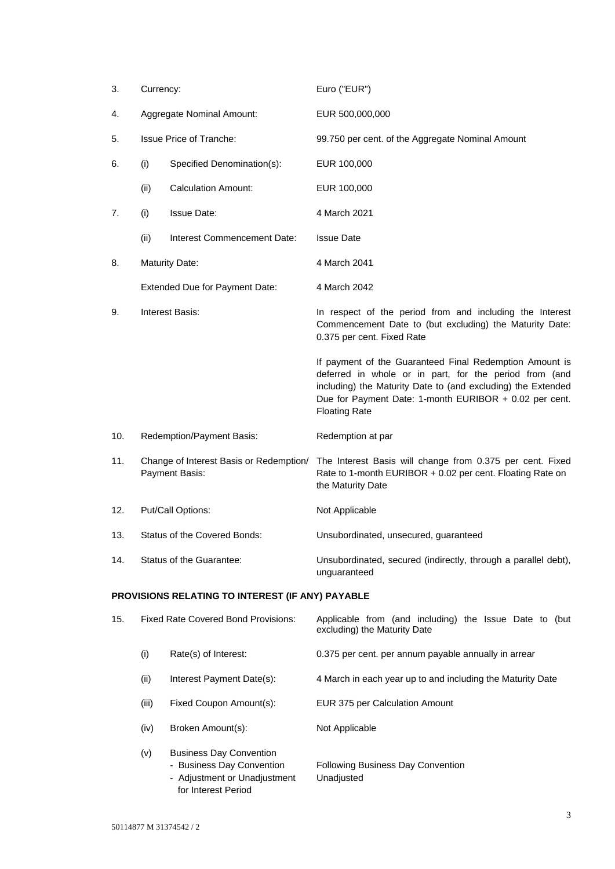| 3.                                               | Currency:                                                 |                                            | Euro ("EUR")                                                                                                                                                                                                                                                        |
|--------------------------------------------------|-----------------------------------------------------------|--------------------------------------------|---------------------------------------------------------------------------------------------------------------------------------------------------------------------------------------------------------------------------------------------------------------------|
| 4.                                               | Aggregate Nominal Amount:                                 |                                            | EUR 500,000,000                                                                                                                                                                                                                                                     |
| 5.                                               | <b>Issue Price of Tranche:</b>                            |                                            | 99.750 per cent. of the Aggregate Nominal Amount                                                                                                                                                                                                                    |
| 6.                                               | (i)                                                       | Specified Denomination(s):                 | EUR 100,000                                                                                                                                                                                                                                                         |
|                                                  | (ii)                                                      | <b>Calculation Amount:</b>                 | EUR 100,000                                                                                                                                                                                                                                                         |
| 7.                                               | (i)                                                       | <b>Issue Date:</b>                         | 4 March 2021                                                                                                                                                                                                                                                        |
|                                                  | (ii)                                                      | Interest Commencement Date:                | <b>Issue Date</b>                                                                                                                                                                                                                                                   |
| 8.                                               |                                                           | <b>Maturity Date:</b>                      | 4 March 2041                                                                                                                                                                                                                                                        |
|                                                  |                                                           | Extended Due for Payment Date:             | 4 March 2042                                                                                                                                                                                                                                                        |
| 9.                                               | Interest Basis:                                           |                                            | In respect of the period from and including the Interest<br>Commencement Date to (but excluding) the Maturity Date:<br>0.375 per cent. Fixed Rate                                                                                                                   |
|                                                  |                                                           |                                            | If payment of the Guaranteed Final Redemption Amount is<br>deferred in whole or in part, for the period from (and<br>including) the Maturity Date to (and excluding) the Extended<br>Due for Payment Date: 1-month EURIBOR + 0.02 per cent.<br><b>Floating Rate</b> |
| 10.                                              |                                                           | Redemption/Payment Basis:                  | Redemption at par                                                                                                                                                                                                                                                   |
| 11.                                              | Change of Interest Basis or Redemption/<br>Payment Basis: |                                            | The Interest Basis will change from 0.375 per cent. Fixed<br>Rate to 1-month EURIBOR + 0.02 per cent. Floating Rate on<br>the Maturity Date                                                                                                                         |
| 12.                                              | Put/Call Options:                                         |                                            | Not Applicable                                                                                                                                                                                                                                                      |
| 13.                                              | Status of the Covered Bonds:                              |                                            | Unsubordinated, unsecured, guaranteed                                                                                                                                                                                                                               |
| 14.                                              | Status of the Guarantee:                                  |                                            | Unsubordinated, secured (indirectly, through a parallel debt),<br>unguaranteed                                                                                                                                                                                      |
| PROVISIONS RELATING TO INTEREST (IF ANY) PAYABLE |                                                           |                                            |                                                                                                                                                                                                                                                                     |
| 15.                                              |                                                           | <b>Fixed Rate Covered Bond Provisions:</b> | Applicable from (and including) the Issue Date to (but<br>excluding) the Maturity Date                                                                                                                                                                              |
|                                                  | (i)                                                       | Rate(s) of Interest:                       | 0.375 per cent. per annum payable annually in arrear                                                                                                                                                                                                                |
|                                                  | (ii)                                                      | Interest Payment Date(s):                  | 4 March in each year up to and including the Maturity Date                                                                                                                                                                                                          |
|                                                  | (iii)                                                     | Fixed Coupon Amount(s):                    | EUR 375 per Calculation Amount                                                                                                                                                                                                                                      |
|                                                  | (iv)                                                      | Broken Amount(s):                          | Not Applicable                                                                                                                                                                                                                                                      |

- (v) Business Day Convention
	- Business Day Convention Following Business Day Convention - Adjustment or Unadjustment Unadjusted for Interest Period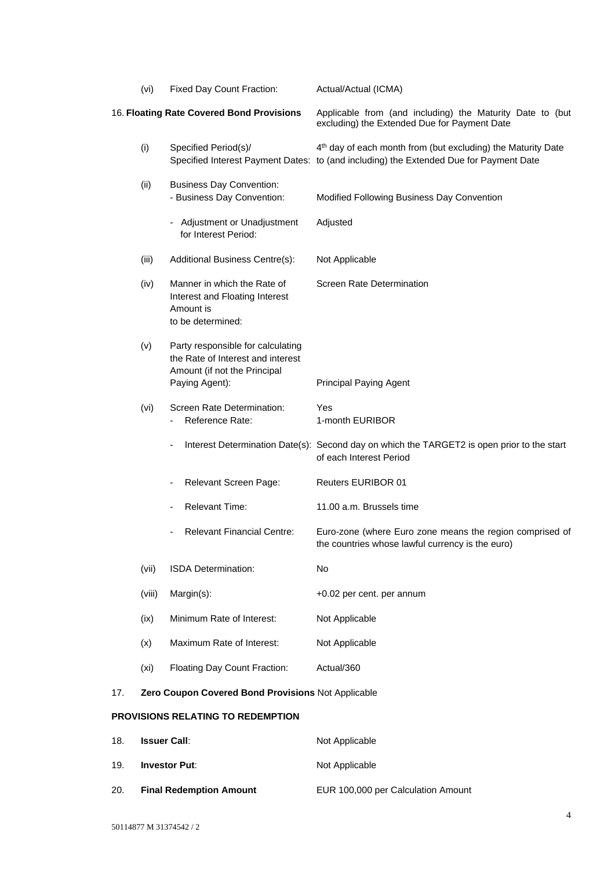|     | (vi)                 | Fixed Day Count Fraction:                                                                                                | Actual/Actual (ICMA)                                                                                                                                               |
|-----|----------------------|--------------------------------------------------------------------------------------------------------------------------|--------------------------------------------------------------------------------------------------------------------------------------------------------------------|
|     |                      | 16. Floating Rate Covered Bond Provisions                                                                                | Applicable from (and including) the Maturity Date to (but<br>excluding) the Extended Due for Payment Date                                                          |
|     | (i)                  | Specified Period(s)/                                                                                                     | 4 <sup>th</sup> day of each month from (but excluding) the Maturity Date<br>Specified Interest Payment Dates: to (and including) the Extended Due for Payment Date |
|     | (ii)                 | <b>Business Day Convention:</b><br>- Business Day Convention:                                                            | Modified Following Business Day Convention                                                                                                                         |
|     |                      | - Adjustment or Unadjustment<br>for Interest Period:                                                                     | Adjusted                                                                                                                                                           |
|     | (iii)                | Additional Business Centre(s):                                                                                           | Not Applicable                                                                                                                                                     |
|     | (iv)                 | Manner in which the Rate of<br>Interest and Floating Interest<br>Amount is<br>to be determined:                          | Screen Rate Determination                                                                                                                                          |
|     | (v)                  | Party responsible for calculating<br>the Rate of Interest and interest<br>Amount (if not the Principal<br>Paying Agent): | <b>Principal Paying Agent</b>                                                                                                                                      |
|     | (vi)                 | Screen Rate Determination:<br>Reference Rate:                                                                            | Yes<br>1-month EURIBOR                                                                                                                                             |
|     |                      | $\overline{\phantom{0}}$                                                                                                 | Interest Determination Date(s): Second day on which the TARGET2 is open prior to the start<br>of each Interest Period                                              |
|     |                      | Relevant Screen Page:<br>-                                                                                               | <b>Reuters EURIBOR 01</b>                                                                                                                                          |
|     |                      | Relevant Time:                                                                                                           | 11.00 a.m. Brussels time                                                                                                                                           |
|     |                      | <b>Relevant Financial Centre:</b>                                                                                        | Euro-zone (where Euro zone means the region comprised of<br>the countries whose lawful currency is the euro)                                                       |
|     | (vii)                | ISDA Determination:                                                                                                      | No                                                                                                                                                                 |
|     | (viii)               | Margin(s):                                                                                                               | +0.02 per cent. per annum                                                                                                                                          |
|     | (ix)                 | Minimum Rate of Interest:                                                                                                | Not Applicable                                                                                                                                                     |
|     | (x)                  | Maximum Rate of Interest:                                                                                                | Not Applicable                                                                                                                                                     |
|     | (x <sub>i</sub> )    | Floating Day Count Fraction:                                                                                             | Actual/360                                                                                                                                                         |
| 17. |                      | Zero Coupon Covered Bond Provisions Not Applicable                                                                       |                                                                                                                                                                    |
|     |                      | <b>PROVISIONS RELATING TO REDEMPTION</b>                                                                                 |                                                                                                                                                                    |
| 18. | <b>Issuer Call:</b>  |                                                                                                                          | Not Applicable                                                                                                                                                     |
| 19. | <b>Investor Put:</b> |                                                                                                                          | Not Applicable                                                                                                                                                     |

20. **Final Redemption Amount** EUR 100,000 per Calculation Amount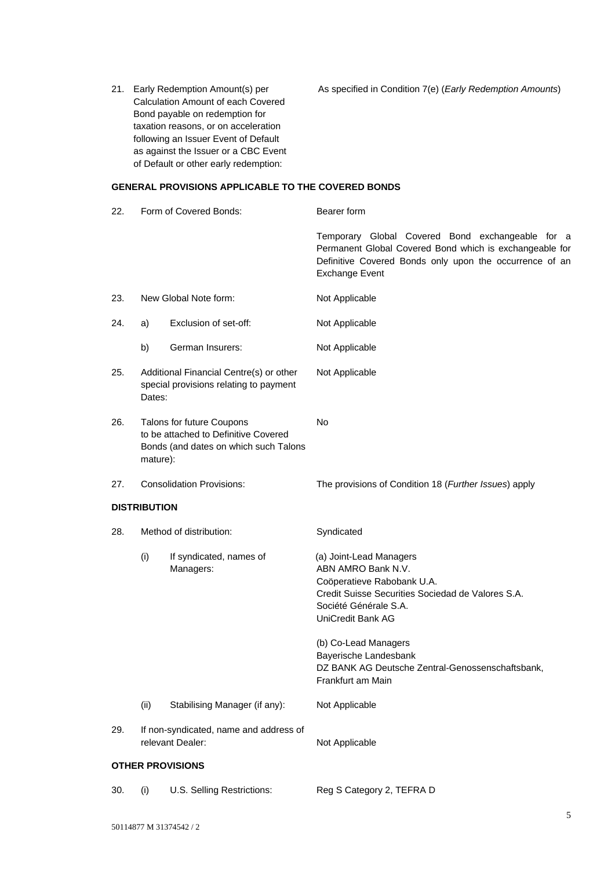Calculation Amount of each Covered Bond payable on redemption for taxation reasons, or on acceleration following an Issuer Event of Default as against the Issuer or a CBC Event of Default or other early redemption:

21. Early Redemption Amount(s) per As specified in Condition 7(e) (*Early Redemption Amounts*)

# **GENERAL PROVISIONS APPLICABLE TO THE COVERED BONDS**

| 22. |                                                                                                                        | Form of Covered Bonds:               | Bearer form                                                                                                                                                                                                                     |
|-----|------------------------------------------------------------------------------------------------------------------------|--------------------------------------|---------------------------------------------------------------------------------------------------------------------------------------------------------------------------------------------------------------------------------|
|     |                                                                                                                        |                                      | Temporary Global Covered Bond exchangeable for a<br>Permanent Global Covered Bond which is exchangeable for<br>Definitive Covered Bonds only upon the occurrence of an<br><b>Exchange Event</b>                                 |
| 23. |                                                                                                                        | New Global Note form:                | Not Applicable                                                                                                                                                                                                                  |
| 24. | a)                                                                                                                     | Exclusion of set-off:                | Not Applicable                                                                                                                                                                                                                  |
|     | b)                                                                                                                     | German Insurers:                     | Not Applicable                                                                                                                                                                                                                  |
| 25. | Additional Financial Centre(s) or other<br>special provisions relating to payment<br>Dates:                            |                                      | Not Applicable                                                                                                                                                                                                                  |
| 26. | Talons for future Coupons<br>to be attached to Definitive Covered<br>Bonds (and dates on which such Talons<br>mature): |                                      | No                                                                                                                                                                                                                              |
| 27. | <b>Consolidation Provisions:</b>                                                                                       |                                      | The provisions of Condition 18 (Further Issues) apply                                                                                                                                                                           |
|     | <b>DISTRIBUTION</b>                                                                                                    |                                      |                                                                                                                                                                                                                                 |
| 28. | Method of distribution:                                                                                                |                                      | Syndicated                                                                                                                                                                                                                      |
|     | (i)                                                                                                                    | If syndicated, names of<br>Managers: | (a) Joint-Lead Managers<br>ABN AMRO Bank N.V.<br>Coöperatieve Rabobank U.A.<br>Credit Suisse Securities Sociedad de Valores S.A.<br>Société Générale S.A.<br>UniCredit Bank AG<br>(b) Co-Lead Managers<br>Bayerische Landesbank |
|     |                                                                                                                        |                                      | DZ BANK AG Deutsche Zentral-Genossenschaftsbank,<br>Frankfurt am Main                                                                                                                                                           |
|     | (ii)                                                                                                                   | Stabilising Manager (if any):        | Not Applicable                                                                                                                                                                                                                  |
| 29. | If non-syndicated, name and address of<br>relevant Dealer:                                                             |                                      | Not Applicable                                                                                                                                                                                                                  |
|     |                                                                                                                        | <b>OTHER PROVISIONS</b>              |                                                                                                                                                                                                                                 |
| 30. | (i)                                                                                                                    | U.S. Selling Restrictions:           | Reg S Category 2, TEFRA D                                                                                                                                                                                                       |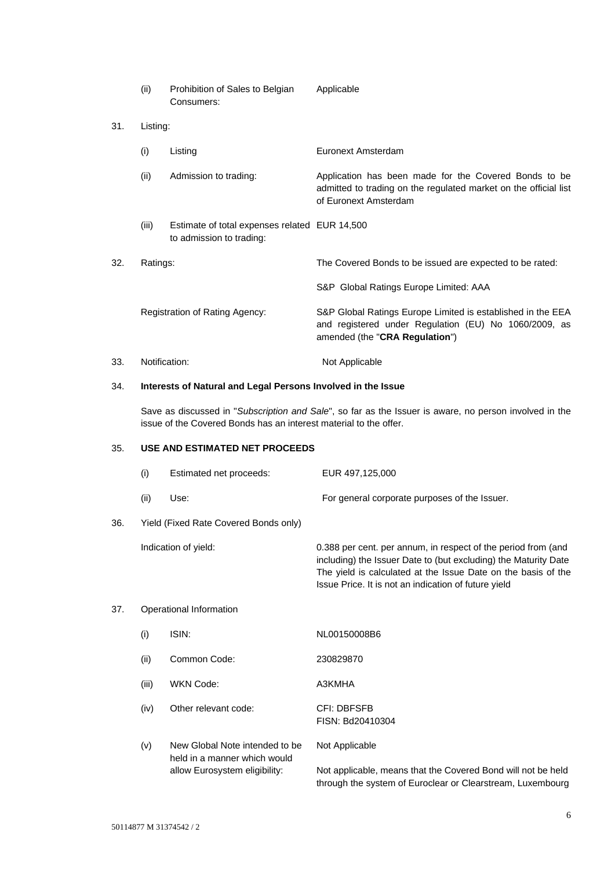- (ii) Prohibition of Sales to Belgian Applicable Consumers:
- 31. Listing:
	- (i) Listing Euronext Amsterdam
	- (ii) Admission to trading: Application has been made for the Covered Bonds to be admitted to trading on the regulated market on the official list of Euronext Amsterdam
	- (iii) Estimate of total expenses related EUR 14,500 to admission to trading:
- 32. Ratings: The Covered Bonds to be issued are expected to be rated: S&P Global Ratings Europe Limited: AAA Registration of Rating Agency: S&P Global Ratings Europe Limited is established in the EEA and registered under Regulation (EU) No 1060/2009, as amended (the "**CRA Regulation**")
- 33. Notification: Not Applicable

### 34. **Interests of Natural and Legal Persons Involved in the Issue**

Save as discussed in "*Subscription and Sale*", so far as the Issuer is aware, no person involved in the issue of the Covered Bonds has an interest material to the offer.

## 35. **USE AND ESTIMATED NET PROCEEDS**

|     | (i)                     | Estimated net proceeds:                                        | EUR 497,125,000                                                                                                                                                                                                                                           |
|-----|-------------------------|----------------------------------------------------------------|-----------------------------------------------------------------------------------------------------------------------------------------------------------------------------------------------------------------------------------------------------------|
|     | (ii)                    | Use:                                                           | For general corporate purposes of the Issuer.                                                                                                                                                                                                             |
| 36. |                         | Yield (Fixed Rate Covered Bonds only)                          |                                                                                                                                                                                                                                                           |
|     |                         | Indication of yield:                                           | 0.388 per cent. per annum, in respect of the period from (and<br>including) the Issuer Date to (but excluding) the Maturity Date<br>The yield is calculated at the Issue Date on the basis of the<br>Issue Price. It is not an indication of future yield |
| 37. | Operational Information |                                                                |                                                                                                                                                                                                                                                           |
|     | (i)                     | ISIN:                                                          | NL00150008B6                                                                                                                                                                                                                                              |
|     | (ii)                    | Common Code:                                                   | 230829870                                                                                                                                                                                                                                                 |
|     | (iii)                   | <b>WKN Code:</b>                                               | A3KMHA                                                                                                                                                                                                                                                    |
|     | (iv)                    | Other relevant code:                                           | CFI: DBFSFB<br>FISN: Bd20410304                                                                                                                                                                                                                           |
|     | (v)                     | New Global Note intended to be<br>held in a manner which would | Not Applicable                                                                                                                                                                                                                                            |

allow Eurosystem eligibility: Not applicable, means that the Covered Bond will not be held through the system of Euroclear or Clearstream, Luxembourg